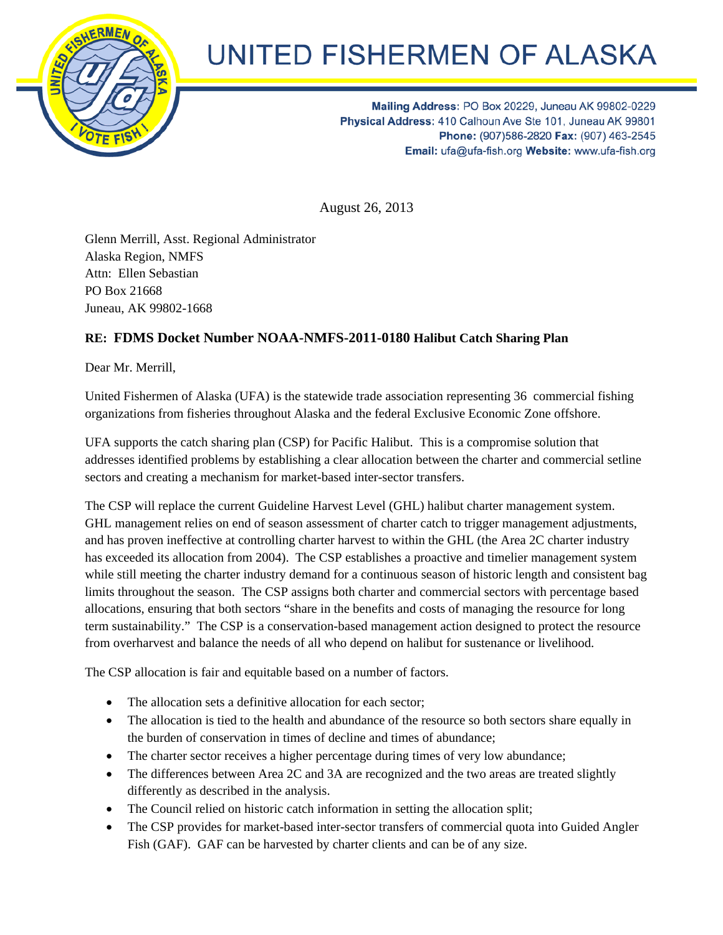

## **UNITED FISHERMEN OF ALASKA**

Mailing Address: PO Box 20229, Juneau AK 99802-0229 Physical Address: 410 Calhoun Ave Ste 101, Juneau AK 99801 Phone: (907)586-2820 Fax: (907) 463-2545 Email: ufa@ufa-fish.org Website: www.ufa-fish.org

August 26, 2013

Glenn Merrill, Asst. Regional Administrator Alaska Region, NMFS Attn: Ellen Sebastian PO Box 21668 Juneau, AK 99802-1668

## **RE: FDMS Docket Number NOAA-NMFS-2011-0180 Halibut Catch Sharing Plan**

Dear Mr. Merrill,

United Fishermen of Alaska (UFA) is the statewide trade association representing 36 commercial fishing organizations from fisheries throughout Alaska and the federal Exclusive Economic Zone offshore.

UFA supports the catch sharing plan (CSP) for Pacific Halibut. This is a compromise solution that addresses identified problems by establishing a clear allocation between the charter and commercial setline sectors and creating a mechanism for market-based inter-sector transfers.

The CSP will replace the current Guideline Harvest Level (GHL) halibut charter management system. GHL management relies on end of season assessment of charter catch to trigger management adjustments, and has proven ineffective at controlling charter harvest to within the GHL (the Area 2C charter industry has exceeded its allocation from 2004). The CSP establishes a proactive and timelier management system while still meeting the charter industry demand for a continuous season of historic length and consistent bag limits throughout the season. The CSP assigns both charter and commercial sectors with percentage based allocations, ensuring that both sectors "share in the benefits and costs of managing the resource for long term sustainability." The CSP is a conservation-based management action designed to protect the resource from overharvest and balance the needs of all who depend on halibut for sustenance or livelihood.

The CSP allocation is fair and equitable based on a number of factors.

- The allocation sets a definitive allocation for each sector;
- The allocation is tied to the health and abundance of the resource so both sectors share equally in the burden of conservation in times of decline and times of abundance;
- The charter sector receives a higher percentage during times of very low abundance;
- The differences between Area 2C and 3A are recognized and the two areas are treated slightly differently as described in the analysis.
- The Council relied on historic catch information in setting the allocation split;
- The CSP provides for market-based inter-sector transfers of commercial quota into Guided Angler Fish (GAF). GAF can be harvested by charter clients and can be of any size.